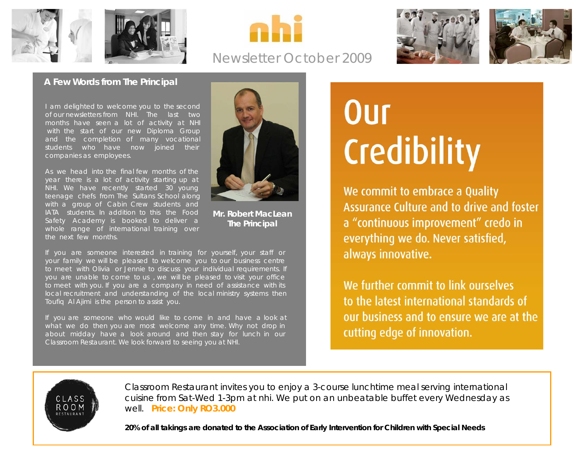





# Newsletter October 2009





#### **A Few Words from The Principal**

I am delighted to welcome you to the second of our newsletters from NHI. The last two months have seen a lot of activity at NHI with the start of our new Diploma Group and the completion of many vocational students who have now joined their companies as employees.

As we head into the final few months of the year there is a lot of activity starting up at NHI. We have recently started 30 young teenage chefs from The Sultans School along with a group of Cabin Crew students and IATA students. In addition to this the Food Safety Academy is booked to deliver a whole range of international training over the next few months.



**Mr. Robert MacLean The Principal**

If you are someone interested in training for yourself, your staff or your family we will be pleased to welcome you to our business centre to meet with Olivia or Jennie to discuss your individual requirements. If you are unable to come to us , we will be pleased to visit your office to meet with you. If you are a company in need of assistance with its local recruitment and understanding of the local ministry systems then Toufiq Al Ajimi is the person to assist you.

If you are someone who would like to come in and have a look at what we do then you are most welcome any time. Why not drop in about midday have a look around and then stay for lunch in our Classroom Restaurant. We look forward to seeing you at NHI.

# Our Credibility

We commit to embrace a Quality Assurance Culture and to drive and foster a "continuous improvement" credo in everything we do. Never satisfied, always innovative.

We further commit to link ourselves to the latest international standards of our business and to ensure we are at the cutting edge of innovation.



Classroom Restaurant invites you to enjoy a 3-course lunchtime meal serving international cuisine from Sat-Wed 1-3pm at nhi. We put on an unbeatable buffet every Wednesday as well. **Price: Only RO3.000**

**20% of all takings are donated to the Association of Early Intervention for Children with Special Needs**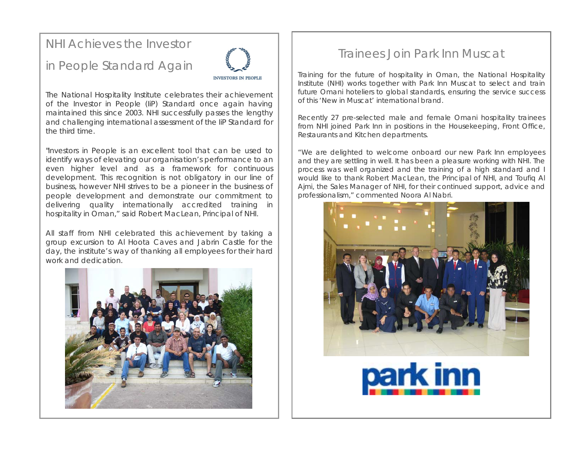# NHI Achieves the Investor

# in People Standard Again



The National Hospitality Institute celebrates their achievement of the Investor in People (IiP) Standard once again having maintained this since 2003. NHI successfully passes the lengthy and challenging international assessment of the IiP Standard for the third time.

"Investors in People is an excellent tool that can be used to identify ways of elevating our organisation's performance to an even higher level and as a framework for continuous development. This recognition is not obligatory in our line of business, however NHI strives to be a pioneer in the business of people development and demonstrate our commitment to delivering quality internationally accredited training in hospitality in Oman," said Robert MacLean, Principal of NHI.

All staff from NHI celebrated this achievement by taking a group excursion to Al Hoota Caves and Jabrin Castle for the day, the institute's way of thanking all employees for their hard work and dedication.



# Trainees Join Park Inn Muscat

Training for the future of hospitality in Oman, the National Hospitality Institute (NHI) works together with Park Inn Muscat to select and train future Omani hoteliers to global standards, ensuring the service success of this 'New in Muscat' international brand.

Recently 27 pre-selected male and female Omani hospitality trainees from NHI joined Park Inn in positions in the Housekeeping, Front Office, Restaurants and Kitchen departments.

"We are delighted to welcome onboard our new Park Inn employees and they are settling in well. It has been a pleasure working with NHI. The process was well organized and the training of a high standard and I would like to thank Robert MacLean, the Principal of NHI, and Toufiq Al Ajmi, the Sales Manager of NHI, for their continued support, advice and professionalism," commented Noora Al Nabri.



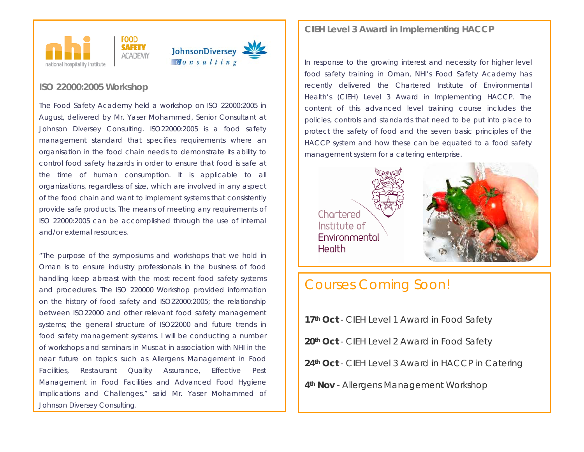



#### **ISO 22000:200[5](http://www.iso.org/iso/rss.xml?csnumber=35466&rss=detail) Workshop**

control food safety hazards in order to ensure that food is safe at the time of human consumption. It is applicable to all organizations, regardless of size, which are involved in any aspect of the food chain and want to implement systems that consistently provide safe products. The means of meeting any requirements of The Food Safety Academy held a workshop on ISO 22000:2005 in August, delivered by Mr. Yaser Mohammed, Senior Consultant at Johnson Diversey Consulting. ISO22000:2005 is a food safety management standard that specifies requirements where an organisation in the food chain needs to demonstrate its ability to ISO 22000:2005 can be accomplished through the use of internal and/or external resources.

"The purpose of the symposiums and workshops that we hold in Oman is to ensure industry professionals in the business of food handling keep abreast with the most recent food safety systems and procedures. The ISO 220000 Workshop provided information on the history of food safety and ISO22000:2005; the relationship between ISO22000 and other relevant food safety management systems; the general structure of ISO22000 and future trends in food safety management systems. I will be conducting a number of workshops and seminars in Muscat in association with NHI in the near future on topics such as Allergens Management in Food Facilities, Restaurant Quality Assurance, Effective Pest Management in Food Facilities and Advanced Food Hygiene Implications and Challenges," said Mr. Yaser Mohammed of Johnson Diversey Consulting.

#### **CIEH Level 3 Award in Implementing HACCP**

In response to the growing interest and necessity for higher level food safety training in Oman, NHI's Food Safety Academy has recently delivered the Chartered Institute of Environmental Health's (CIEH) Level 3 Award in Implementing HACCP. The content of this advanced level training course includes the policies, controls and standards that need to be put into place to protect the safety of food and the seven basic principles of the HACCP system and how these can be equated to a food safety management system for a catering enterprise.

Chartered Institute of Environmental **Health** 



# Courses Coming Soon!

**17th Oct** - CIEH Level 1 Award in Food Safety **20th Oct** - CIEH Level 2 Award in Food Safety **24th Oct** - CIEH Level 3 Award in HACCP in Catering **4th Nov** - Allergens Management Workshop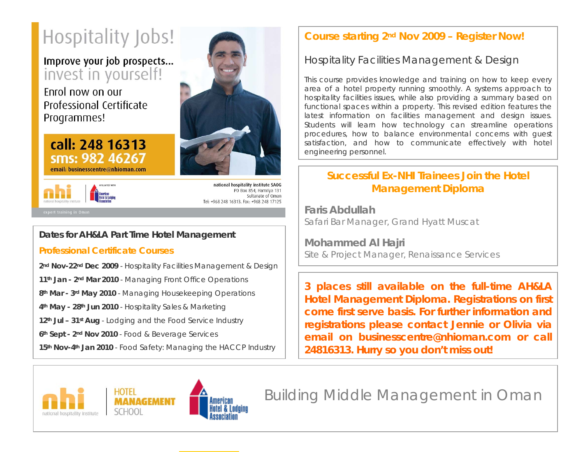# Hospitality Jobs!

# Improve your job prospects... invest in yourself!

Enrol now on our Professional Certificate Programmes!

#### call: 248 16313 sms: 982 46267 email: businesscentre@nhioman.com



national hospitality institute SAOG PO Box 854, Hamriva 131 Sultanate of Oman Tel: +968 248 16313, Fax: +968 248 17125

#### **Dates for AH&LA Part Time Hotel Management**

#### **Professional Certificate Courses**

2<sup>nd</sup> Nov-22<sup>nd</sup> Dec 2009 - Hospitality Facilities Management & Design

**11th Jan - 2nd Mar 2010** - Managing Front Office Operations

**8th Mar - 3rd May 2010** - Managing Housekeeping Operations

**4th May - 28th Jun 2010** - Hospitality Sales & Marketing

**12th Jul – 31st Aug** - Lodging and the Food Service Industry

**6th Sept - 2nd Nov 2010** - Food & Beverage Services

15<sup>th</sup> Nov-4<sup>th</sup> Jan 2010 - Food Safety: Managing the HACCP Industry

# **Course starting 2nd Nov 2009 – Register Now!**

## Hospitality Facilities Management & Design

This course provides knowledge and training on how to keep every area of a hotel property running smoothly. A systems approach to hospitality facilities issues, while also providing a summary based on functional spaces within a property. This revised edition features the latest information on facilities management and design issues. Students will learn how technology can streamline operations procedures, how to balance environmental concerns with guest satisfaction, and how to communicate effectively with hotel engineering personnel.

### **Successful Ex-NHI Trainees Join the Hotel Management Diploma**

**Faris Abdullah**Safari Bar Manager, Grand Hyatt Muscat

**Mohammed Al Hajri** Site & Project Manager, Renaissance Services

**3 places still available on the full-time AH&LA Hotel Management Diploma. Registrations on first come first serve basis. For further information and registrations please contact Jennie or Olivia via email on businesscentre@nhioman.com or call 24816313. Hurry so you don't miss out!**



Building Middle Management in Oman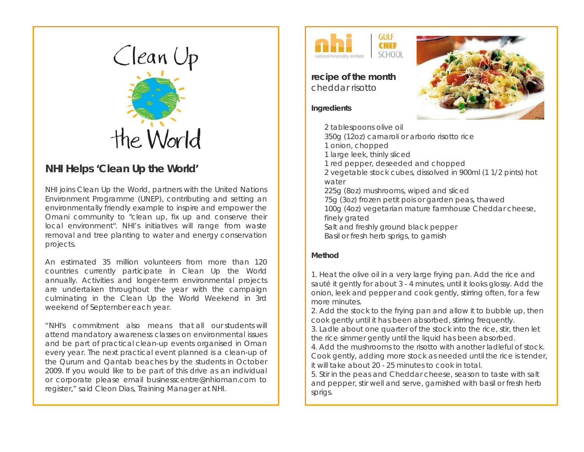

#### **NHI Helps 'Clean Up the World'**

NHI joins Clean Up the World, partners with [the United Nations](http://www.unep.org/)  [Environment Programme \(UNEP\)](http://www.unep.org/), contributing and setting an environmentally friendly example to inspire and empower the Omani community to "clean up, fix up and conserve their local environment". NHI's initiatives will range from waste removal and tree planting to water and energy conservation projects.

An estimated 35 million volunteers from more than 120 countries currently participate in Clean Up the World annually. Activities and longer-term environmental projects are undertaken throughout the year with the campaign culminating in the [Clean Up the World Weekend](http://www.cleanuptheworld.org/en/Activities/clean-up-the-world-weekend-2009.html) in 3rd weekend of September each year.

"NHI's commitment also means that all our students will attend mandatory awareness classes on environmental issues and be part of practical clean-up events organised in Oman every year. The next practical event planned is a clean-up of the Qurum and Qantab beaches by the students in October 2009. If you would like to be part of this drive as an individual or corporate please email [businesscentre@nhioman.com](mailto:businesscentre@nhioman.com) to register," said Cleon Dias, Training Manager at NHI.



**recipe of the month**  cheddar risotto

#### **Ingredients**



#### **Method**

1. Heat the olive oil in a very large frying pan. Add the rice and sauté it gently for about 3 - 4 minutes, until it looks glossy. Add the onion, leek and pepper and cook gently, stirring often, for a few more minutes.

2. Add the stock to the frying pan and allow it to bubble up, then cook gently until it has been absorbed, stirring frequently.

3. Ladle about one quarter of the stock into the rice, stir, then let the rice simmer gently until the liquid has been absorbed.

4. Add the mushrooms to the risotto with another ladleful of stock. Cook gently, adding more stock as needed until the rice is tender, it will take about 20 - 25 minutes to cook in total.

5. Stir in the peas and Cheddar cheese, season to taste with salt and pepper, stir well and serve, garnished with basil or fresh herb sprigs.

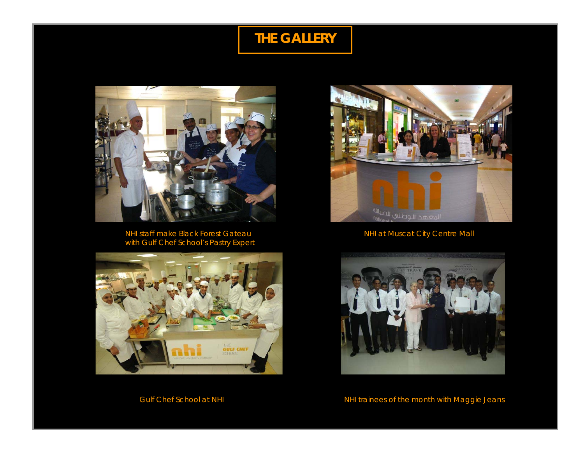# **THE GALLERY**



NHI staff make Black Forest Gateau NHI at Muscat City Centre Mall with Gulf Chef School's Pastry Expert







Gulf Chef School at NHI **NHI CHAI AND READ CHAI NHI Trainees of the month with Maggie Jeans**